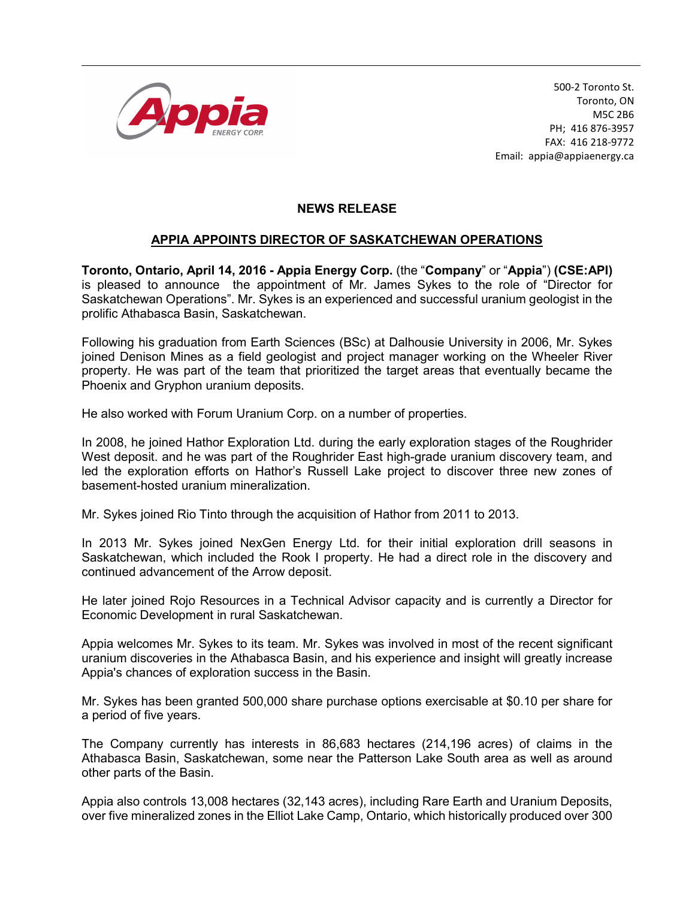

500-2 Toronto St. Toronto, ON M5C 2B6 PH; 416 876-3957 FAX: 416 218-9772 Email: appia@appiaenergy.ca

## NEWS RELEASE

## APPIA APPOINTS DIRECTOR OF SASKATCHEWAN OPERATIONS

Toronto, Ontario, April 14, 2016 - Appia Energy Corp. (the "Company" or "Appia") (CSE:API) is pleased to announce the appointment of Mr. James Sykes to the role of "Director for Saskatchewan Operations". Mr. Sykes is an experienced and successful uranium geologist in the prolific Athabasca Basin, Saskatchewan.

Following his graduation from Earth Sciences (BSc) at Dalhousie University in 2006, Mr. Sykes joined Denison Mines as a field geologist and project manager working on the Wheeler River property. He was part of the team that prioritized the target areas that eventually became the Phoenix and Gryphon uranium deposits.

He also worked with Forum Uranium Corp. on a number of properties.

In 2008, he joined Hathor Exploration Ltd. during the early exploration stages of the Roughrider West deposit. and he was part of the Roughrider East high-grade uranium discovery team, and led the exploration efforts on Hathor's Russell Lake project to discover three new zones of basement-hosted uranium mineralization.

Mr. Sykes joined Rio Tinto through the acquisition of Hathor from 2011 to 2013.

In 2013 Mr. Sykes joined NexGen Energy Ltd. for their initial exploration drill seasons in Saskatchewan, which included the Rook I property. He had a direct role in the discovery and continued advancement of the Arrow deposit.

He later joined Rojo Resources in a Technical Advisor capacity and is currently a Director for Economic Development in rural Saskatchewan.

Appia welcomes Mr. Sykes to its team. Mr. Sykes was involved in most of the recent significant uranium discoveries in the Athabasca Basin, and his experience and insight will greatly increase Appia's chances of exploration success in the Basin.

Mr. Sykes has been granted 500,000 share purchase options exercisable at \$0.10 per share for a period of five years.

The Company currently has interests in 86,683 hectares (214,196 acres) of claims in the Athabasca Basin, Saskatchewan, some near the Patterson Lake South area as well as around other parts of the Basin.

Appia also controls 13,008 hectares (32,143 acres), including Rare Earth and Uranium Deposits, over five mineralized zones in the Elliot Lake Camp, Ontario, which historically produced over 300